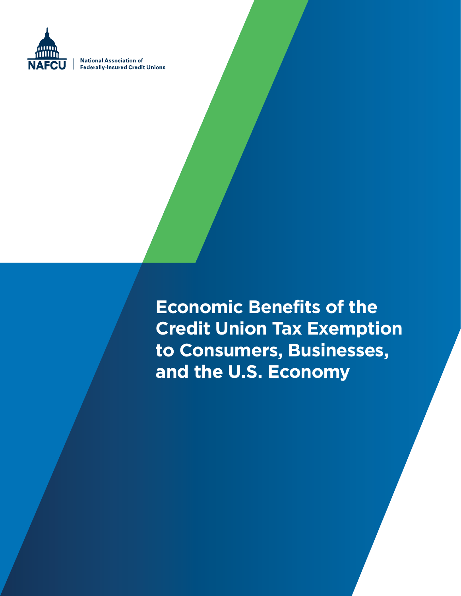

**National Association of Federally-Insured Credit Unions** 

> **Economic Benefits of the Credit Union Tax Exemption to Consumers, Businesses, and the U.S. Economy**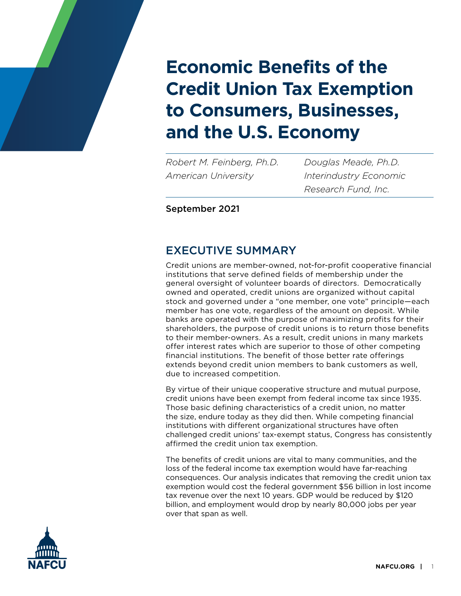

*Robert M. Feinberg, Ph.D. American University*

*Douglas Meade, Ph.D. Interindustry Economic Research Fund, Inc.*

September 2021

# EXECUTIVE SUMMARY

Credit unions are member-owned, not-for-profit cooperative financial institutions that serve defined fields of membership under the general oversight of volunteer boards of directors. Democratically owned and operated, credit unions are organized without capital stock and governed under a "one member, one vote" principle—each member has one vote, regardless of the amount on deposit. While banks are operated with the purpose of maximizing profits for their shareholders, the purpose of credit unions is to return those benefits to their member-owners. As a result, credit unions in many markets offer interest rates which are superior to those of other competing financial institutions. The benefit of those better rate offerings extends beyond credit union members to bank customers as well, due to increased competition.

By virtue of their unique cooperative structure and mutual purpose, credit unions have been exempt from federal income tax since 1935. Those basic defining characteristics of a credit union, no matter the size, endure today as they did then. While competing financial institutions with different organizational structures have often challenged credit unions' tax-exempt status, Congress has consistently affirmed the credit union tax exemption.

The benefits of credit unions are vital to many communities, and the loss of the federal income tax exemption would have far-reaching consequences. Our analysis indicates that removing the credit union tax exemption would cost the federal government \$56 billion in lost income tax revenue over the next 10 years. GDP would be reduced by \$120 billion, and employment would drop by nearly 80,000 jobs per year over that span as well.

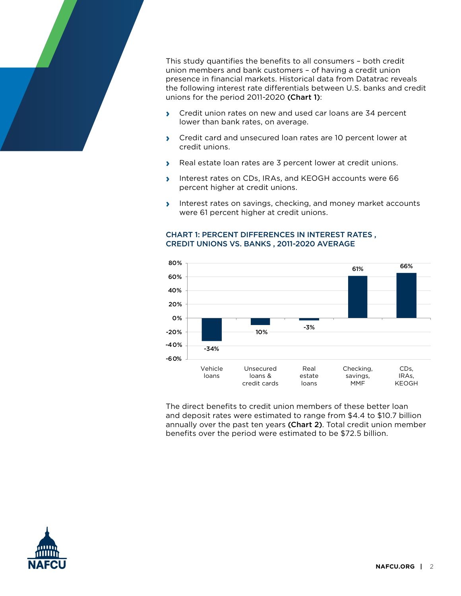

This study quantifies the benefits to all consumers – both credit union members and bank customers – of having a credit union presence in financial markets. Historical data from Datatrac reveals the following interest rate differentials between U.S. banks and credit unions for the period 2011-2020 (Chart 1):

- **›** Credit union rates on new and used car loans are 34 percent lower than bank rates, on average.
- **›** Credit card and unsecured loan rates are 10 percent lower at credit unions.
- **›** Real estate loan rates are 3 percent lower at credit unions.
- **›** Interest rates on CDs, IRAs, and KEOGH accounts were 66 percent higher at credit unions.
- **›** Interest rates on savings, checking, and money market accounts were 61 percent higher at credit unions.

#### CHART 1: PERCENT DIFFERENCES IN INTEREST RATES , CREDIT UNIONS VS. BANKS , 2011-2020 AVERAGE



The direct benefits to credit union members of these better loan and deposit rates were estimated to range from \$4.4 to \$10.7 billion annually over the past ten years (Chart 2). Total credit union member benefits over the period were estimated to be \$72.5 billion.

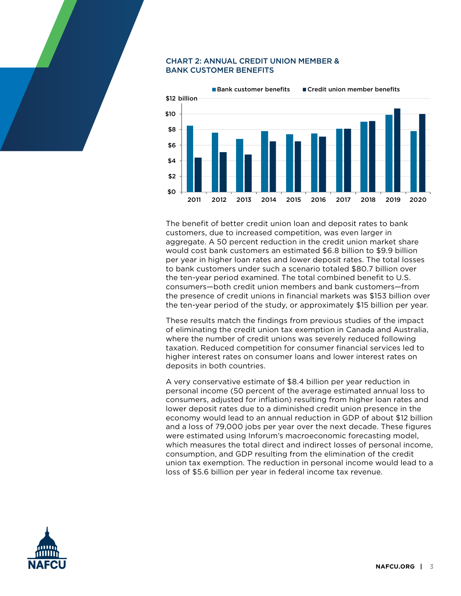#### CHART 2: ANNUAL CREDIT UNION MEMBER & BANK CUSTOMER BENEFITS



The benefit of better credit union loan and deposit rates to bank customers, due to increased competition, was even larger in aggregate. A 50 percent reduction in the credit union market share would cost bank customers an estimated \$6.8 billion to \$9.9 billion per year in higher loan rates and lower deposit rates. The total losses to bank customers under such a scenario totaled \$80.7 billion over the ten-year period examined. The total combined benefit to U.S. consumers—both credit union members and bank customers—from the presence of credit unions in financial markets was \$153 billion over the ten-year period of the study, or approximately \$15 billion per year.

These results match the findings from previous studies of the impact of eliminating the credit union tax exemption in Canada and Australia, where the number of credit unions was severely reduced following taxation. Reduced competition for consumer financial services led to higher interest rates on consumer loans and lower interest rates on deposits in both countries.

A very conservative estimate of \$8.4 billion per year reduction in personal income (50 percent of the average estimated annual loss to consumers, adjusted for inflation) resulting from higher loan rates and lower deposit rates due to a diminished credit union presence in the economy would lead to an annual reduction in GDP of about \$12 billion and a loss of 79,000 jobs per year over the next decade. These figures were estimated using Inforum's macroeconomic forecasting model, which measures the total direct and indirect losses of personal income, consumption, and GDP resulting from the elimination of the credit union tax exemption. The reduction in personal income would lead to a loss of \$5.6 billion per year in federal income tax revenue.

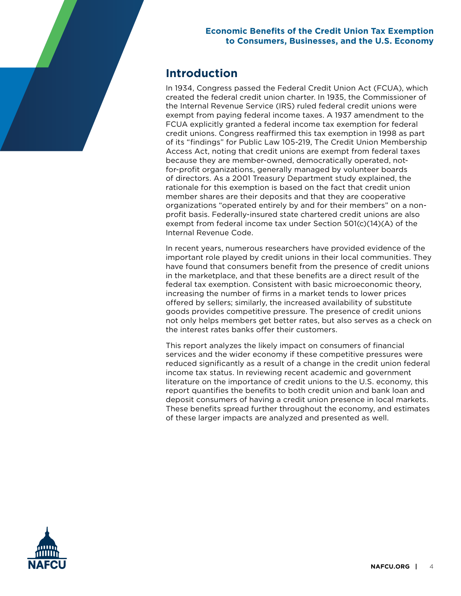# **Introduction**

In 1934, Congress passed the Federal Credit Union Act (FCUA), which created the federal credit union charter. In 1935, the Commissioner of the Internal Revenue Service (IRS) ruled federal credit unions were exempt from paying federal income taxes. A 1937 amendment to the FCUA explicitly granted a federal income tax exemption for federal credit unions. Congress reaffirmed this tax exemption in 1998 as part of its "findings" for Public Law 105-219, The Credit Union Membership Access Act, noting that credit unions are exempt from federal taxes because they are member-owned, democratically operated, notfor-profit organizations, generally managed by volunteer boards of directors. As a 2001 Treasury Department study explained, the rationale for this exemption is based on the fact that credit union member shares are their deposits and that they are cooperative organizations "operated entirely by and for their members" on a nonprofit basis. Federally-insured state chartered credit unions are also exempt from federal income tax under Section 501(c)(14)(A) of the Internal Revenue Code.

In recent years, numerous researchers have provided evidence of the important role played by credit unions in their local communities. They have found that consumers benefit from the presence of credit unions in the marketplace, and that these benefits are a direct result of the federal tax exemption. Consistent with basic microeconomic theory, increasing the number of firms in a market tends to lower prices offered by sellers; similarly, the increased availability of substitute goods provides competitive pressure. The presence of credit unions not only helps members get better rates, but also serves as a check on the interest rates banks offer their customers.

This report analyzes the likely impact on consumers of financial services and the wider economy if these competitive pressures were reduced significantly as a result of a change in the credit union federal income tax status. In reviewing recent academic and government literature on the importance of credit unions to the U.S. economy, this report quantifies the benefits to both credit union and bank loan and deposit consumers of having a credit union presence in local markets. These benefits spread further throughout the economy, and estimates of these larger impacts are analyzed and presented as well.

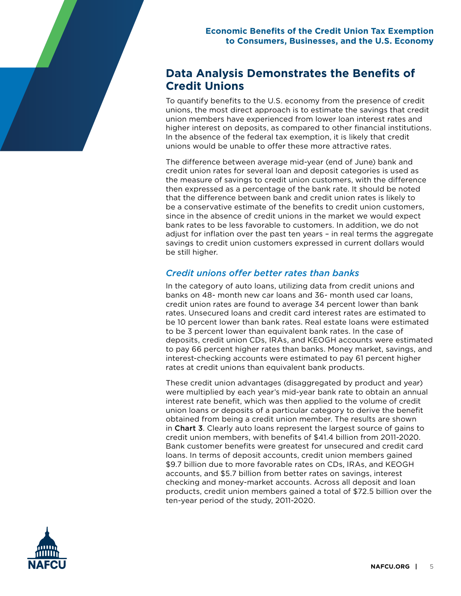# **Data Analysis Demonstrates the Benefits of Credit Unions**

To quantify benefits to the U.S. economy from the presence of credit unions, the most direct approach is to estimate the savings that credit union members have experienced from lower loan interest rates and higher interest on deposits, as compared to other financial institutions. In the absence of the federal tax exemption, it is likely that credit unions would be unable to offer these more attractive rates.

The difference between average mid-year (end of June) bank and credit union rates for several loan and deposit categories is used as the measure of savings to credit union customers, with the difference then expressed as a percentage of the bank rate. It should be noted that the difference between bank and credit union rates is likely to be a conservative estimate of the benefits to credit union customers, since in the absence of credit unions in the market we would expect bank rates to be less favorable to customers. In addition, we do not adjust for inflation over the past ten years – in real terms the aggregate savings to credit union customers expressed in current dollars would be still higher.

# *Credit unions offer better rates than banks*

In the category of auto loans, utilizing data from credit unions and banks on 48- month new car loans and 36- month used car loans, credit union rates are found to average 34 percent lower than bank rates. Unsecured loans and credit card interest rates are estimated to be 10 percent lower than bank rates. Real estate loans were estimated to be 3 percent lower than equivalent bank rates. In the case of deposits, credit union CDs, IRAs, and KEOGH accounts were estimated to pay 66 percent higher rates than banks. Money market, savings, and interest-checking accounts were estimated to pay 61 percent higher rates at credit unions than equivalent bank products.

These credit union advantages (disaggregated by product and year) were multiplied by each year's mid-year bank rate to obtain an annual interest rate benefit, which was then applied to the volume of credit union loans or deposits of a particular category to derive the benefit obtained from being a credit union member. The results are shown in **Chart 3**. Clearly auto loans represent the largest source of gains to credit union members, with benefits of \$41.4 billion from 2011-2020. Bank customer benefits were greatest for unsecured and credit card loans. In terms of deposit accounts, credit union members gained \$9.7 billion due to more favorable rates on CDs, IRAs, and KEOGH accounts, and \$5.7 billion from better rates on savings, interest checking and money-market accounts. Across all deposit and loan products, credit union members gained a total of \$72.5 billion over the ten-year period of the study, 2011-2020.

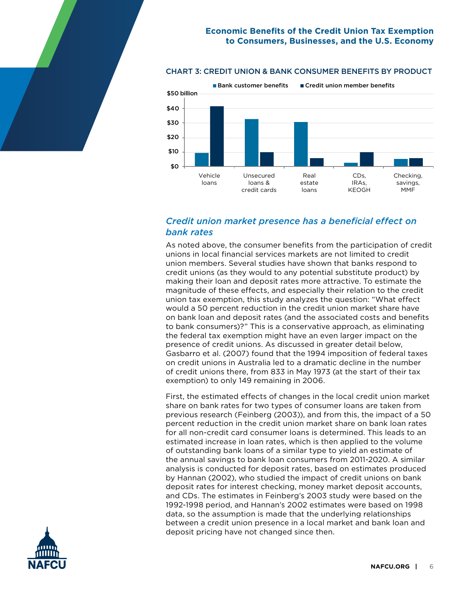#### \$0 \$10 \$20 \$30 \$40 \$50 billion ■ Bank customer benefits ■ Credit union member benefits Vehicle loans Unsecured loans & credit cards Real estate loans CDs, IRAs, KEOGH Checking, savings, MMF

#### CHART 3: CREDIT UNION & BANK CONSUMER BENEFITS BY PRODUCT

# *Credit union market presence has a beneficial effect on bank rates*

As noted above, the consumer benefits from the participation of credit unions in local financial services markets are not limited to credit union members. Several studies have shown that banks respond to credit unions (as they would to any potential substitute product) by making their loan and deposit rates more attractive. To estimate the magnitude of these effects, and especially their relation to the credit union tax exemption, this study analyzes the question: "What effect would a 50 percent reduction in the credit union market share have on bank loan and deposit rates (and the associated costs and benefits to bank consumers)?" This is a conservative approach, as eliminating the federal tax exemption might have an even larger impact on the presence of credit unions. As discussed in greater detail below, Gasbarro et al. (2007) found that the 1994 imposition of federal taxes on credit unions in Australia led to a dramatic decline in the number of credit unions there, from 833 in May 1973 (at the start of their tax exemption) to only 149 remaining in 2006.

First, the estimated effects of changes in the local credit union market share on bank rates for two types of consumer loans are taken from previous research (Feinberg (2003)), and from this, the impact of a 50 percent reduction in the credit union market share on bank loan rates for all non-credit card consumer loans is determined. This leads to an estimated increase in loan rates, which is then applied to the volume of outstanding bank loans of a similar type to yield an estimate of the annual savings to bank loan consumers from 2011-2020. A similar analysis is conducted for deposit rates, based on estimates produced by Hannan (2002), who studied the impact of credit unions on bank deposit rates for interest checking, money market deposit accounts, and CDs. The estimates in Feinberg's 2003 study were based on the 1992-1998 period, and Hannan's 2002 estimates were based on 1998 data, so the assumption is made that the underlying relationships between a credit union presence in a local market and bank loan and deposit pricing have not changed since then.

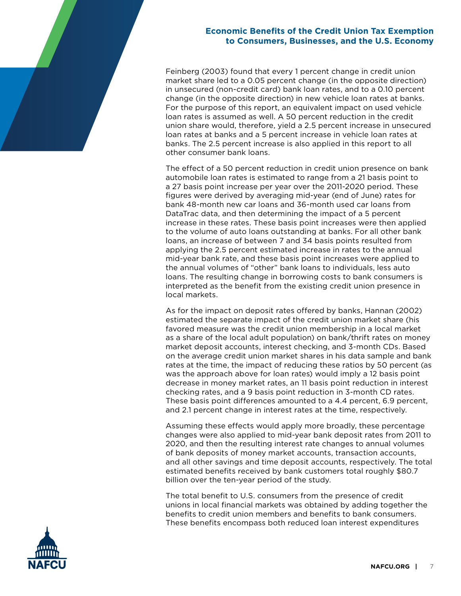Feinberg (2003) found that every 1 percent change in credit union market share led to a 0.05 percent change (in the opposite direction) in unsecured (non-credit card) bank loan rates, and to a 0.10 percent change (in the opposite direction) in new vehicle loan rates at banks. For the purpose of this report, an equivalent impact on used vehicle loan rates is assumed as well. A 50 percent reduction in the credit union share would, therefore, yield a 2.5 percent increase in unsecured loan rates at banks and a 5 percent increase in vehicle loan rates at banks. The 2.5 percent increase is also applied in this report to all other consumer bank loans.

The effect of a 50 percent reduction in credit union presence on bank automobile loan rates is estimated to range from a 21 basis point to a 27 basis point increase per year over the 2011-2020 period. These figures were derived by averaging mid-year (end of June) rates for bank 48-month new car loans and 36-month used car loans from DataTrac data, and then determining the impact of a 5 percent increase in these rates. These basis point increases were then applied to the volume of auto loans outstanding at banks. For all other bank loans, an increase of between 7 and 34 basis points resulted from applying the 2.5 percent estimated increase in rates to the annual mid-year bank rate, and these basis point increases were applied to the annual volumes of "other" bank loans to individuals, less auto loans. The resulting change in borrowing costs to bank consumers is interpreted as the benefit from the existing credit union presence in local markets.

As for the impact on deposit rates offered by banks, Hannan (2002) estimated the separate impact of the credit union market share (his favored measure was the credit union membership in a local market as a share of the local adult population) on bank/thrift rates on money market deposit accounts, interest checking, and 3-month CDs. Based on the average credit union market shares in his data sample and bank rates at the time, the impact of reducing these ratios by 50 percent (as was the approach above for loan rates) would imply a 12 basis point decrease in money market rates, an 11 basis point reduction in interest checking rates, and a 9 basis point reduction in 3-month CD rates. These basis point differences amounted to a 4.4 percent, 6.9 percent, and 2.1 percent change in interest rates at the time, respectively.

Assuming these effects would apply more broadly, these percentage changes were also applied to mid-year bank deposit rates from 2011 to 2020, and then the resulting interest rate changes to annual volumes of bank deposits of money market accounts, transaction accounts, and all other savings and time deposit accounts, respectively. The total estimated benefits received by bank customers total roughly \$80.7 billion over the ten-year period of the study.

The total benefit to U.S. consumers from the presence of credit unions in local financial markets was obtained by adding together the benefits to credit union members and benefits to bank consumers. These benefits encompass both reduced loan interest expenditures

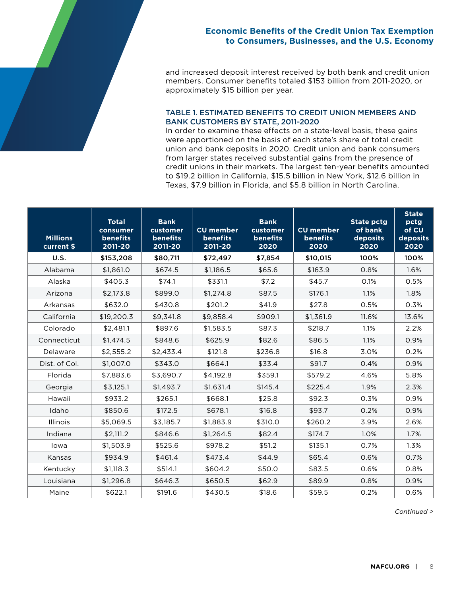and increased deposit interest received by both bank and credit union members. Consumer benefits totaled \$153 billion from 2011-2020, or approximately \$15 billion per year.

#### TABLE 1. ESTIMATED BENEFITS TO CREDIT UNION MEMBERS AND BANK CUSTOMERS BY STATE, 2011-2020

In order to examine these effects on a state-level basis, these gains were apportioned on the basis of each state's share of total credit union and bank deposits in 2020. Credit union and bank consumers from larger states received substantial gains from the presence of credit unions in their markets. The largest ten-year benefits amounted to \$19.2 billion in California, \$15.5 billion in New York, \$12.6 billion in Texas, \$7.9 billion in Florida, and \$5.8 billion in North Carolina.

| <b>Millions</b><br>current \$ | <b>Total</b><br>consumer<br><b>benefits</b><br>2011-20 | <b>Bank</b><br>customer<br><b>benefits</b><br>2011-20 | <b>CU</b> member<br><b>benefits</b><br>2011-20 | <b>Bank</b><br>customer<br><b>benefits</b><br>2020 | <b>CU</b> member<br><b>benefits</b><br>2020 | <b>State pctg</b><br>of bank<br>deposits<br>2020 | <b>State</b><br>pctg<br>of CU<br>deposits<br>2020 |
|-------------------------------|--------------------------------------------------------|-------------------------------------------------------|------------------------------------------------|----------------------------------------------------|---------------------------------------------|--------------------------------------------------|---------------------------------------------------|
| U.S.                          | \$153,208                                              | \$80,711                                              | \$72,497                                       | \$7,854                                            | \$10,015                                    | 100%                                             | 100%                                              |
| Alabama                       | \$1,861.0                                              | \$674.5                                               | \$1.186.5                                      | \$65.6                                             | \$163.9                                     | 0.8%                                             | 1.6%                                              |
| Alaska                        | \$405.3                                                | \$74.1                                                | \$331.1                                        | \$7.2                                              | \$45.7                                      | 0.1%                                             | 0.5%                                              |
| Arizona                       | \$2,173.8                                              | \$899.0                                               | \$1,274.8                                      | \$87.5                                             | \$176.1                                     | 1.1%                                             | 1.8%                                              |
| Arkansas                      | \$632.0                                                | \$430.8                                               | \$201.2                                        | \$41.9                                             | \$27.8                                      | 0.5%                                             | 0.3%                                              |
| California                    | \$19,200.3                                             | \$9,341.8                                             | \$9,858.4                                      | \$909.1                                            | \$1,361.9                                   | 11.6%                                            | 13.6%                                             |
| Colorado                      | \$2,481.1                                              | \$897.6                                               | \$1,583.5                                      | \$87.3                                             | \$218.7                                     | 1.1%                                             | 2.2%                                              |
| Connecticut                   | \$1,474.5                                              | \$848.6                                               | \$625.9                                        | \$82.6                                             | \$86.5                                      | 1.1%                                             | 0.9%                                              |
| Delaware                      | \$2,555.2                                              | \$2,433.4                                             | \$121.8                                        | \$236.8                                            | \$16.8                                      | 3.0%                                             | 0.2%                                              |
| Dist. of Col.                 | \$1,007.0                                              | \$343.0                                               | \$664.1                                        | \$33.4                                             | \$91.7                                      | 0.4%                                             | 0.9%                                              |
| Florida                       | \$7,883.6                                              | \$3,690.7                                             | \$4.192.8                                      | \$359.1                                            | \$579.2                                     | 4.6%                                             | 5.8%                                              |
| Georgia                       | \$3,125.1                                              | \$1.493.7                                             | \$1,631.4                                      | \$145.4                                            | \$225.4                                     | 1.9%                                             | 2.3%                                              |
| Hawaii                        | \$933.2                                                | \$265.1                                               | \$668.1                                        | \$25.8                                             | \$92.3                                      | 0.3%                                             | 0.9%                                              |
| Idaho                         | \$850.6                                                | \$172.5                                               | \$678.1                                        | \$16.8                                             | \$93.7                                      | 0.2%                                             | 0.9%                                              |
| Illinois                      | \$5,069.5                                              | \$3,185.7                                             | \$1,883.9                                      | \$310.0                                            | \$260.2                                     | 3.9%                                             | 2.6%                                              |
| Indiana                       | \$2,111.2                                              | \$846.6                                               | \$1,264.5                                      | \$82.4                                             | \$174.7                                     | 1.0%                                             | 1.7%                                              |
| lowa                          | \$1,503.9                                              | \$525.6                                               | \$978.2                                        | \$51.2                                             | \$135.1                                     | 0.7%                                             | 1.3%                                              |
| Kansas                        | \$934.9                                                | \$461.4                                               | \$473.4                                        | \$44.9                                             | \$65.4                                      | 0.6%                                             | 0.7%                                              |
| Kentucky                      | \$1,118.3                                              | \$514.1                                               | \$604.2                                        | \$50.0                                             | \$83.5                                      | 0.6%                                             | 0.8%                                              |
| Louisiana                     | \$1,296.8                                              | \$646.3                                               | \$650.5                                        | \$62.9                                             | \$89.9                                      | 0.8%                                             | 0.9%                                              |
| Maine                         | \$622.1                                                | \$191.6                                               | \$430.5                                        | \$18.6                                             | \$59.5                                      | 0.2%                                             | 0.6%                                              |

*Continued >*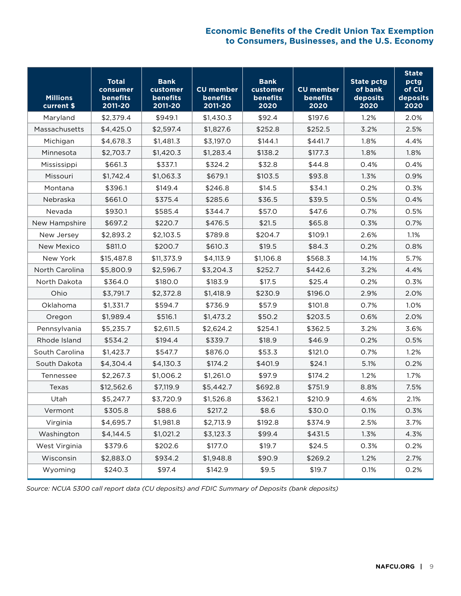| <b>Millions</b><br>current \$ | <b>Total</b><br>consumer<br>benefits<br>2011-20 | <b>Bank</b><br>customer<br>benefits<br>2011-20 | <b>CU</b> member<br>benefits<br>2011-20 | <b>Bank</b><br>customer<br>benefits<br>2020 | <b>CU</b> member<br>benefits<br>2020 | <b>State pctg</b><br>of bank<br>deposits<br>2020 | <b>State</b><br>pctg<br>of CU<br>deposits<br>2020 |
|-------------------------------|-------------------------------------------------|------------------------------------------------|-----------------------------------------|---------------------------------------------|--------------------------------------|--------------------------------------------------|---------------------------------------------------|
| Maryland                      | \$2,379.4                                       | \$949.1                                        | \$1,430.3                               | \$92.4                                      | \$197.6                              | 1.2%                                             | 2.0%                                              |
| Massachusetts                 | \$4,425.0                                       | \$2,597.4                                      | \$1,827.6                               | \$252.8                                     | \$252.5                              | 3.2%                                             | 2.5%                                              |
| Michigan                      | \$4,678.3                                       | \$1,481.3                                      | \$3,197.0                               | \$144.1                                     | \$441.7                              | 1.8%                                             | 4.4%                                              |
| Minnesota                     | \$2,703.7                                       | \$1,420.3                                      | \$1,283.4                               | \$138.2                                     | \$177.3                              | 1.8%                                             | 1.8%                                              |
| Mississippi                   | \$661.3                                         | \$337.1                                        | \$324.2                                 | \$32.8                                      | \$44.8                               | 0.4%                                             | 0.4%                                              |
| Missouri                      | \$1,742.4                                       | \$1,063.3                                      | \$679.1                                 | \$103.5                                     | \$93.8                               | 1.3%                                             | 0.9%                                              |
| Montana                       | \$396.1                                         | \$149.4                                        | \$246.8                                 | \$14.5                                      | \$34.1                               | 0.2%                                             | 0.3%                                              |
| Nebraska                      | \$661.0                                         | \$375.4                                        | \$285.6                                 | \$36.5                                      | \$39.5                               | 0.5%                                             | 0.4%                                              |
| Nevada                        | \$930.1                                         | \$585.4                                        | \$344.7                                 | \$57.0                                      | \$47.6                               | 0.7%                                             | 0.5%                                              |
| New Hampshire                 | \$697.2                                         | \$220.7                                        | \$476.5                                 | \$21.5                                      | \$65.8                               | 0.3%                                             | 0.7%                                              |
| New Jersey                    | \$2,893.2                                       | \$2,103.5                                      | \$789.8                                 | \$204.7                                     | \$109.1                              | 2.6%                                             | 1.1%                                              |
| New Mexico                    | \$811.0                                         | \$200.7                                        | \$610.3                                 | \$19.5                                      | \$84.3                               | 0.2%                                             | 0.8%                                              |
| New York                      | \$15,487.8                                      | \$11,373.9                                     | \$4,113.9                               | \$1,106.8                                   | \$568.3                              | 14.1%                                            | 5.7%                                              |
| North Carolina                | \$5,800.9                                       | \$2,596.7                                      | \$3,204.3                               | \$252.7                                     | \$442.6                              | 3.2%                                             | 4.4%                                              |
| North Dakota                  | \$364.0                                         | \$180.0                                        | \$183.9                                 | \$17.5                                      | \$25.4                               | 0.2%                                             | 0.3%                                              |
| Ohio                          | \$3,791.7                                       | \$2,372.8                                      | \$1,418.9                               | \$230.9                                     | \$196.0                              | 2.9%                                             | 2.0%                                              |
| Oklahoma                      | \$1,331.7                                       | \$594.7                                        | \$736.9                                 | \$57.9                                      | \$101.8                              | 0.7%                                             | 1.0%                                              |
| Oregon                        | \$1,989.4                                       | \$516.1                                        | \$1,473.2                               | \$50.2                                      | \$203.5                              | 0.6%                                             | 2.0%                                              |
| Pennsylvania                  | \$5,235.7                                       | \$2,611.5                                      | \$2,624.2                               | \$254.1                                     | \$362.5                              | 3.2%                                             | 3.6%                                              |
| Rhode Island                  | \$534.2                                         | \$194.4                                        | \$339.7                                 | \$18.9                                      | \$46.9                               | 0.2%                                             | 0.5%                                              |
| South Carolina                | \$1,423.7                                       | \$547.7                                        | \$876.0                                 | \$53.3                                      | \$121.0                              | 0.7%                                             | 1.2%                                              |
| South Dakota                  | \$4,304.4                                       | \$4,130.3                                      | \$174.2                                 | \$401.9                                     | \$24.1                               | 5.1%                                             | 0.2%                                              |
| Tennessee                     | \$2,267.3                                       | \$1,006.2                                      | \$1,261.0                               | \$97.9                                      | \$174.2                              | 1.2%                                             | 1.7%                                              |
| Texas                         | \$12,562.6                                      | \$7,119.9                                      | \$5,442.7                               | \$692.8                                     | \$751.9                              | 8.8%                                             | 7.5%                                              |
| Utah                          | \$5,247.7                                       | \$3,720.9                                      | \$1,526.8                               | \$362.1                                     | \$210.9                              | 4.6%                                             | 2.1%                                              |
| Vermont                       | \$305.8                                         | \$88.6                                         | \$217.2                                 | \$8.6                                       | \$30.0                               | 0.1%                                             | 0.3%                                              |
| Virginia                      | \$4,695.7                                       | \$1,981.8                                      | \$2,713.9                               | \$192.8                                     | \$374.9                              | 2.5%                                             | 3.7%                                              |
| Washington                    | \$4,144.5                                       | \$1,021.2                                      | \$3,123.3                               | \$99.4                                      | \$431.5                              | 1.3%                                             | 4.3%                                              |
| West Virginia                 | \$379.6                                         | \$202.6                                        | \$177.0                                 | \$19.7                                      | \$24.5                               | 0.3%                                             | 0.2%                                              |
| Wisconsin                     | \$2,883.0                                       | \$934.2                                        | \$1,948.8                               | \$90.9                                      | \$269.2                              | 1.2%                                             | 2.7%                                              |
| Wyoming                       | \$240.3                                         | \$97.4                                         | \$142.9                                 | \$9.5                                       | \$19.7                               | 0.1%                                             | 0.2%                                              |

*Source: NCUA 5300 call report data (CU deposits) and FDIC Summary of Deposits (bank deposits)*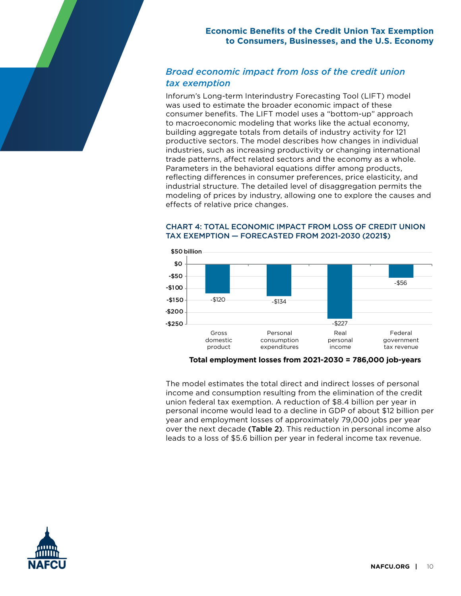# *Broad economic impact from loss of the credit union tax exemption*

Inforum's Long-term Interindustry Forecasting Tool (LIFT) model was used to estimate the broader economic impact of these consumer benefits. The LIFT model uses a "bottom-up" approach to macroeconomic modeling that works like the actual economy, building aggregate totals from details of industry activity for 121 productive sectors. The model describes how changes in individual industries, such as increasing productivity or changing international trade patterns, affect related sectors and the economy as a whole. Parameters in the behavioral equations differ among products, reflecting differences in consumer preferences, price elasticity, and industrial structure. The detailed level of disaggregation permits the modeling of prices by industry, allowing one to explore the causes and effects of relative price changes.



#### CHART 4: TOTAL ECONOMIC IMPACT FROM LOSS OF CREDIT UNION TAX EXEMPTION — FORECASTED FROM 2021-2030 (2021\$)

#### **Total employment losses from 2021-2030 = 786,000 job-years**

The model estimates the total direct and indirect losses of personal income and consumption resulting from the elimination of the credit union federal tax exemption. A reduction of \$8.4 billion per year in personal income would lead to a decline in GDP of about \$12 billion per year and employment losses of approximately 79,000 jobs per year over the next decade (Table 2). This reduction in personal income also leads to a loss of \$5.6 billion per year in federal income tax revenue.

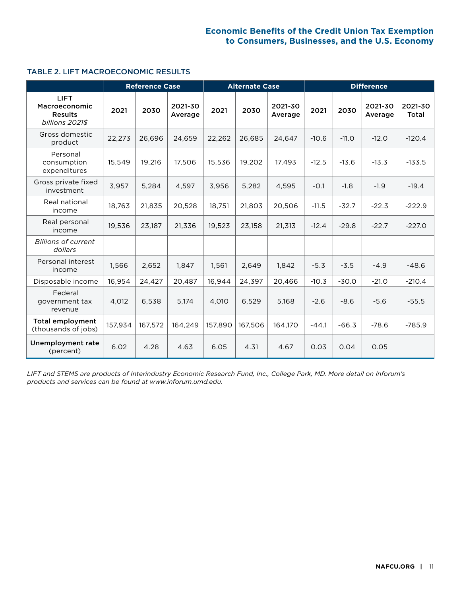#### TABLE 2. LIFT MACROECONOMIC RESULTS

|                                                                   |         | <b>Reference Case</b> |                    |         | <b>Alternate Case</b> |                    | <b>Difference</b> |         |                    |                  |
|-------------------------------------------------------------------|---------|-----------------------|--------------------|---------|-----------------------|--------------------|-------------------|---------|--------------------|------------------|
| <b>LIFT</b><br>Macroeconomic<br><b>Results</b><br>billions 2021\$ | 2021    | 2030                  | 2021-30<br>Average | 2021    | 2030                  | 2021-30<br>Average | 2021              | 2030    | 2021-30<br>Average | 2021-30<br>Total |
| Gross domestic<br>product                                         | 22,273  | 26.696                | 24.659             | 22,262  | 26.685                | 24.647             | $-10.6$           | $-11.0$ | $-12.0$            | $-120.4$         |
| Personal<br>consumption<br>expenditures                           | 15,549  | 19,216                | 17,506             | 15,536  | 19,202                | 17,493             | $-12.5$           | $-13.6$ | $-13.3$            | $-133.5$         |
| Gross private fixed<br>investment                                 | 3,957   | 5,284                 | 4,597              | 3,956   | 5,282                 | 4,595              | $-0.1$            | $-1.8$  | $-1.9$             | $-19.4$          |
| Real national<br>income                                           | 18,763  | 21,835                | 20,528             | 18,751  | 21,803                | 20,506             | $-11.5$           | $-32.7$ | $-22.3$            | $-222.9$         |
| Real personal<br>income                                           | 19,536  | 23,187                | 21,336             | 19,523  | 23,158                | 21,313             | $-12.4$           | $-29.8$ | $-22.7$            | $-227.0$         |
| <b>Billions of current</b><br>dollars                             |         |                       |                    |         |                       |                    |                   |         |                    |                  |
| Personal interest<br>income                                       | 1,566   | 2,652                 | 1,847              | 1,561   | 2,649                 | 1,842              | $-5.3$            | $-3.5$  | $-4.9$             | $-48.6$          |
| Disposable income                                                 | 16,954  | 24,427                | 20,487             | 16,944  | 24,397                | 20,466             | $-10.3$           | $-30.0$ | $-21.0$            | $-210.4$         |
| Federal<br>government tax<br>revenue                              | 4,012   | 6,538                 | 5,174              | 4,010   | 6,529                 | 5,168              | $-2.6$            | $-8.6$  | $-5.6$             | $-55.5$          |
| <b>Total employment</b><br>(thousands of jobs)                    | 157,934 | 167,572               | 164,249            | 157,890 | 167,506               | 164,170            | $-44.1$           | $-66.3$ | $-78.6$            | $-785.9$         |
| Unemployment rate<br>(percent)                                    | 6.02    | 4.28                  | 4.63               | 6.05    | 4.31                  | 4.67               | 0.03              | 0.04    | 0.05               |                  |

*LIFT and STEMS are products of Interindustry Economic Research Fund, Inc., College Park, MD. More detail on Inforum's products and services can be found at www.inforum.umd.edu.*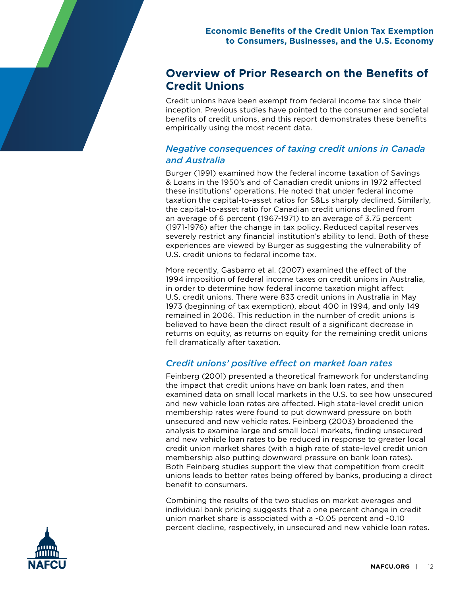# **Overview of Prior Research on the Benefits of Credit Unions**

Credit unions have been exempt from federal income tax since their inception. Previous studies have pointed to the consumer and societal benefits of credit unions, and this report demonstrates these benefits empirically using the most recent data.

# *Negative consequences of taxing credit unions in Canada and Australia*

Burger (1991) examined how the federal income taxation of Savings & Loans in the 1950's and of Canadian credit unions in 1972 affected these institutions' operations. He noted that under federal income taxation the capital-to-asset ratios for S&Ls sharply declined. Similarly, the capital-to-asset ratio for Canadian credit unions declined from an average of 6 percent (1967-1971) to an average of 3.75 percent (1971-1976) after the change in tax policy. Reduced capital reserves severely restrict any financial institution's ability to lend. Both of these experiences are viewed by Burger as suggesting the vulnerability of U.S. credit unions to federal income tax.

More recently, Gasbarro et al. (2007) examined the effect of the 1994 imposition of federal income taxes on credit unions in Australia, in order to determine how federal income taxation might affect U.S. credit unions. There were 833 credit unions in Australia in May 1973 (beginning of tax exemption), about 400 in 1994, and only 149 remained in 2006. This reduction in the number of credit unions is believed to have been the direct result of a significant decrease in returns on equity, as returns on equity for the remaining credit unions fell dramatically after taxation.

# *Credit unions' positive effect on market loan rates*

Feinberg (2001) presented a theoretical framework for understanding the impact that credit unions have on bank loan rates, and then examined data on small local markets in the U.S. to see how unsecured and new vehicle loan rates are affected. High state-level credit union membership rates were found to put downward pressure on both unsecured and new vehicle rates. Feinberg (2003) broadened the analysis to examine large and small local markets, finding unsecured and new vehicle loan rates to be reduced in response to greater local credit union market shares (with a high rate of state-level credit union membership also putting downward pressure on bank loan rates). Both Feinberg studies support the view that competition from credit unions leads to better rates being offered by banks, producing a direct benefit to consumers.

Combining the results of the two studies on market averages and individual bank pricing suggests that a one percent change in credit union market share is associated with a -0.05 percent and -0.10 percent decline, respectively, in unsecured and new vehicle loan rates.

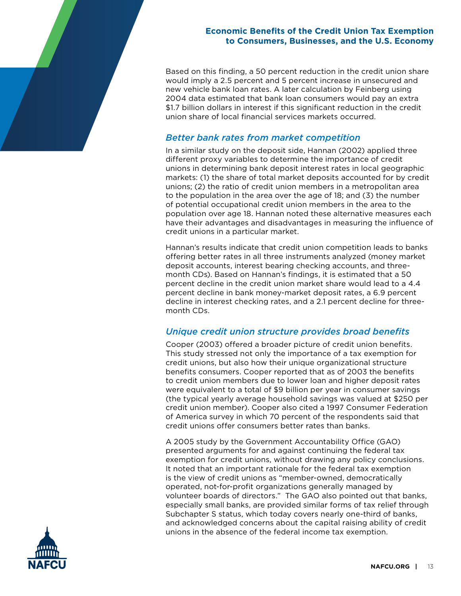Based on this finding, a 50 percent reduction in the credit union share would imply a 2.5 percent and 5 percent increase in unsecured and new vehicle bank loan rates. A later calculation by Feinberg using 2004 data estimated that bank loan consumers would pay an extra \$1.7 billion dollars in interest if this significant reduction in the credit union share of local financial services markets occurred.

## *Better bank rates from market competition*

In a similar study on the deposit side, Hannan (2002) applied three different proxy variables to determine the importance of credit unions in determining bank deposit interest rates in local geographic markets: (1) the share of total market deposits accounted for by credit unions; (2) the ratio of credit union members in a metropolitan area to the population in the area over the age of 18; and (3) the number of potential occupational credit union members in the area to the population over age 18. Hannan noted these alternative measures each have their advantages and disadvantages in measuring the influence of credit unions in a particular market.

Hannan's results indicate that credit union competition leads to banks offering better rates in all three instruments analyzed (money market deposit accounts, interest bearing checking accounts, and threemonth CDs). Based on Hannan's findings, it is estimated that a 50 percent decline in the credit union market share would lead to a 4.4 percent decline in bank money-market deposit rates, a 6.9 percent decline in interest checking rates, and a 2.1 percent decline for threemonth CDs.

# *Unique credit union structure provides broad benefits*

Cooper (2003) offered a broader picture of credit union benefits. This study stressed not only the importance of a tax exemption for credit unions, but also how their unique organizational structure benefits consumers. Cooper reported that as of 2003 the benefits to credit union members due to lower loan and higher deposit rates were equivalent to a total of \$9 billion per year in consumer savings (the typical yearly average household savings was valued at \$250 per credit union member). Cooper also cited a 1997 Consumer Federation of America survey in which 70 percent of the respondents said that credit unions offer consumers better rates than banks.

A 2005 study by the Government Accountability Office (GAO) presented arguments for and against continuing the federal tax exemption for credit unions, without drawing any policy conclusions. It noted that an important rationale for the federal tax exemption is the view of credit unions as "member-owned, democratically operated, not-for-profit organizations generally managed by volunteer boards of directors." The GAO also pointed out that banks, especially small banks, are provided similar forms of tax relief through Subchapter S status, which today covers nearly one-third of banks, and acknowledged concerns about the capital raising ability of credit unions in the absence of the federal income tax exemption.

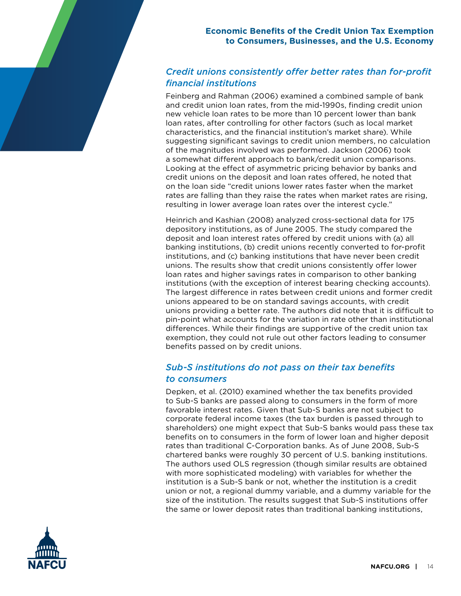# *Credit unions consistently offer better rates than for-profit financial institutions*

Feinberg and Rahman (2006) examined a combined sample of bank and credit union loan rates, from the mid-1990s, finding credit union new vehicle loan rates to be more than 10 percent lower than bank loan rates, after controlling for other factors (such as local market characteristics, and the financial institution's market share). While suggesting significant savings to credit union members, no calculation of the magnitudes involved was performed. Jackson (2006) took a somewhat different approach to bank/credit union comparisons. Looking at the effect of asymmetric pricing behavior by banks and credit unions on the deposit and loan rates offered, he noted that on the loan side "credit unions lower rates faster when the market rates are falling than they raise the rates when market rates are rising, resulting in lower average loan rates over the interest cycle."

Heinrich and Kashian (2008) analyzed cross-sectional data for 175 depository institutions, as of June 2005. The study compared the deposit and loan interest rates offered by credit unions with (a) all banking institutions, (b) credit unions recently converted to for-profit institutions, and (c) banking institutions that have never been credit unions. The results show that credit unions consistently offer lower loan rates and higher savings rates in comparison to other banking institutions (with the exception of interest bearing checking accounts). The largest difference in rates between credit unions and former credit unions appeared to be on standard savings accounts, with credit unions providing a better rate. The authors did note that it is difficult to pin-point what accounts for the variation in rate other than institutional differences. While their findings are supportive of the credit union tax exemption, they could not rule out other factors leading to consumer benefits passed on by credit unions.

# *Sub-S institutions do not pass on their tax benefits to consumers*

Depken, et al. (2010) examined whether the tax benefits provided to Sub-S banks are passed along to consumers in the form of more favorable interest rates. Given that Sub-S banks are not subject to corporate federal income taxes (the tax burden is passed through to shareholders) one might expect that Sub-S banks would pass these tax benefits on to consumers in the form of lower loan and higher deposit rates than traditional C-Corporation banks. As of June 2008, Sub-S chartered banks were roughly 30 percent of U.S. banking institutions. The authors used OLS regression (though similar results are obtained with more sophisticated modeling) with variables for whether the institution is a Sub-S bank or not, whether the institution is a credit union or not, a regional dummy variable, and a dummy variable for the size of the institution. The results suggest that Sub-S institutions offer the same or lower deposit rates than traditional banking institutions,

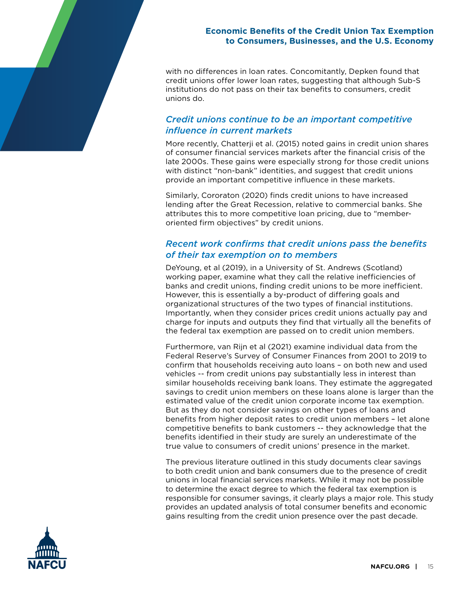with no differences in loan rates. Concomitantly, Depken found that credit unions offer lower loan rates, suggesting that although Sub-S institutions do not pass on their tax benefits to consumers, credit unions do.

# *Credit unions continue to be an important competitive influence in current markets*

More recently, Chatterji et al. (2015) noted gains in credit union shares of consumer financial services markets after the financial crisis of the late 2000s. These gains were especially strong for those credit unions with distinct "non-bank" identities, and suggest that credit unions provide an important competitive influence in these markets.

Similarly, Cororaton (2020) finds credit unions to have increased lending after the Great Recession, relative to commercial banks. She attributes this to more competitive loan pricing, due to "memberoriented firm objectives" by credit unions.

# *Recent work confirms that credit unions pass the benefits of their tax exemption on to members*

DeYoung, et al (2019), in a University of St. Andrews (Scotland) working paper, examine what they call the relative inefficiencies of banks and credit unions, finding credit unions to be more inefficient. However, this is essentially a by-product of differing goals and organizational structures of the two types of financial institutions. Importantly, when they consider prices credit unions actually pay and charge for inputs and outputs they find that virtually all the benefits of the federal tax exemption are passed on to credit union members.

Furthermore, van Rijn et al (2021) examine individual data from the Federal Reserve's Survey of Consumer Finances from 2001 to 2019 to confirm that households receiving auto loans – on both new and used vehicles -- from credit unions pay substantially less in interest than similar households receiving bank loans. They estimate the aggregated savings to credit union members on these loans alone is larger than the estimated value of the credit union corporate income tax exemption. But as they do not consider savings on other types of loans and benefits from higher deposit rates to credit union members – let alone competitive benefits to bank customers -- they acknowledge that the benefits identified in their study are surely an underestimate of the true value to consumers of credit unions' presence in the market.

The previous literature outlined in this study documents clear savings to both credit union and bank consumers due to the presence of credit unions in local financial services markets. While it may not be possible to determine the exact degree to which the federal tax exemption is responsible for consumer savings, it clearly plays a major role. This study provides an updated analysis of total consumer benefits and economic gains resulting from the credit union presence over the past decade.

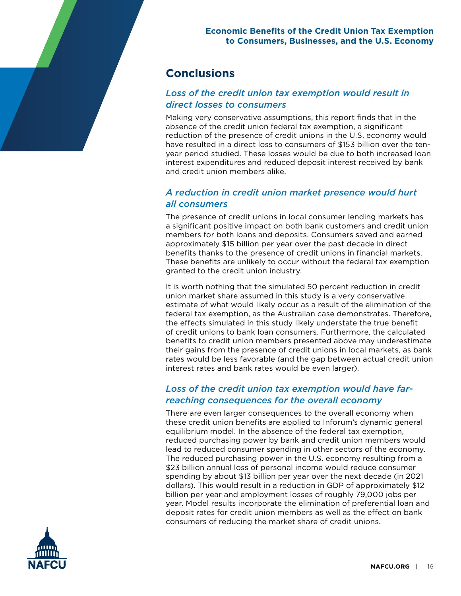# **Conclusions**

# *Loss of the credit union tax exemption would result in direct losses to consumers*

Making very conservative assumptions, this report finds that in the absence of the credit union federal tax exemption, a significant reduction of the presence of credit unions in the U.S. economy would have resulted in a direct loss to consumers of \$153 billion over the tenyear period studied. These losses would be due to both increased loan interest expenditures and reduced deposit interest received by bank and credit union members alike.

# *A reduction in credit union market presence would hurt all consumers*

The presence of credit unions in local consumer lending markets has a significant positive impact on both bank customers and credit union members for both loans and deposits. Consumers saved and earned approximately \$15 billion per year over the past decade in direct benefits thanks to the presence of credit unions in financial markets. These benefits are unlikely to occur without the federal tax exemption granted to the credit union industry.

It is worth nothing that the simulated 50 percent reduction in credit union market share assumed in this study is a very conservative estimate of what would likely occur as a result of the elimination of the federal tax exemption, as the Australian case demonstrates. Therefore, the effects simulated in this study likely understate the true benefit of credit unions to bank loan consumers. Furthermore, the calculated benefits to credit union members presented above may underestimate their gains from the presence of credit unions in local markets, as bank rates would be less favorable (and the gap between actual credit union interest rates and bank rates would be even larger).

# *Loss of the credit union tax exemption would have farreaching consequences for the overall economy*

There are even larger consequences to the overall economy when these credit union benefits are applied to Inforum's dynamic general equilibrium model. In the absence of the federal tax exemption, reduced purchasing power by bank and credit union members would lead to reduced consumer spending in other sectors of the economy. The reduced purchasing power in the U.S. economy resulting from a \$23 billion annual loss of personal income would reduce consumer spending by about \$13 billion per year over the next decade (in 2021 dollars). This would result in a reduction in GDP of approximately \$12 billion per year and employment losses of roughly 79,000 jobs per year. Model results incorporate the elimination of preferential loan and deposit rates for credit union members as well as the effect on bank consumers of reducing the market share of credit unions.

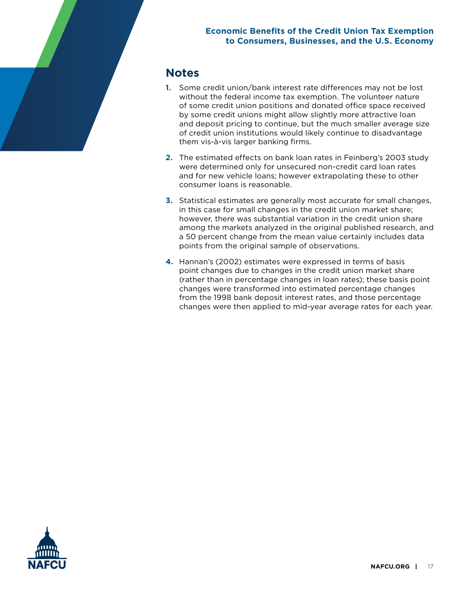# **Notes**

- **1.** Some credit union/bank interest rate differences may not be lost without the federal income tax exemption. The volunteer nature of some credit union positions and donated office space received by some credit unions might allow slightly more attractive loan and deposit pricing to continue, but the much smaller average size of credit union institutions would likely continue to disadvantage them vis-à-vis larger banking firms.
- **2.** The estimated effects on bank loan rates in Feinberg's 2003 study were determined only for unsecured non-credit card loan rates and for new vehicle loans; however extrapolating these to other consumer loans is reasonable.
- **3.** Statistical estimates are generally most accurate for small changes, in this case for small changes in the credit union market share; however, there was substantial variation in the credit union share among the markets analyzed in the original published research, and a 50 percent change from the mean value certainly includes data points from the original sample of observations.
- **4.** Hannan's (2002) estimates were expressed in terms of basis point changes due to changes in the credit union market share (rather than in percentage changes in loan rates); these basis point changes were transformed into estimated percentage changes from the 1998 bank deposit interest rates, and those percentage changes were then applied to mid-year average rates for each year.

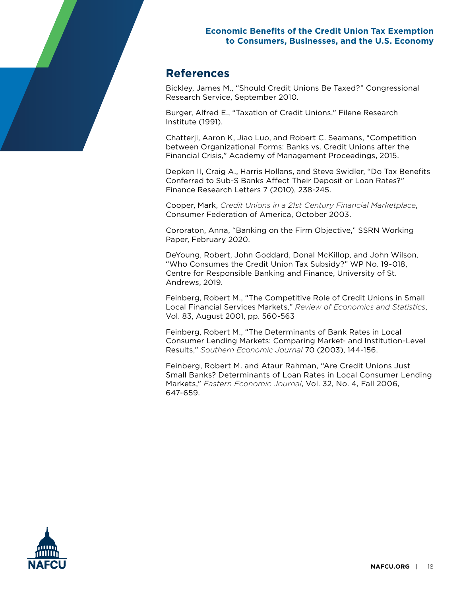# **References**

Bickley, James M., "Should Credit Unions Be Taxed?" Congressional Research Service, September 2010.

Burger, Alfred E., "Taxation of Credit Unions," Filene Research Institute (1991).

Chatterji, Aaron K, Jiao Luo, and Robert C. Seamans, "Competition between Organizational Forms: Banks vs. Credit Unions after the Financial Crisis," Academy of Management Proceedings, 2015.

Depken II, Craig A., Harris Hollans, and Steve Swidler, "Do Tax Benefits Conferred to Sub-S Banks Affect Their Deposit or Loan Rates?" Finance Research Letters 7 (2010), 238-245.

Cooper, Mark, *Credit Unions in a 21st Century Financial Marketplace*, Consumer Federation of America, October 2003.

Cororaton, Anna, "Banking on the Firm Objective," SSRN Working Paper, February 2020.

DeYoung, Robert, John Goddard, Donal McKillop, and John Wilson, "Who Consumes the Credit Union Tax Subsidy?" WP No. 19-018, Centre for Responsible Banking and Finance, University of St. Andrews, 2019.

Feinberg, Robert M., "The Competitive Role of Credit Unions in Small Local Financial Services Markets," *Review of Economics and Statistics*, Vol. 83, August 2001, pp. 560-563

Feinberg, Robert M., "The Determinants of Bank Rates in Local Consumer Lending Markets: Comparing Market- and Institution-Level Results," *Southern Economic Journal* 70 (2003), 144-156.

Feinberg, Robert M. and Ataur Rahman, "Are Credit Unions Just Small Banks? Determinants of Loan Rates in Local Consumer Lending Markets," *Eastern Economic Journal*, Vol. 32, No. 4, Fall 2006, 647-659.

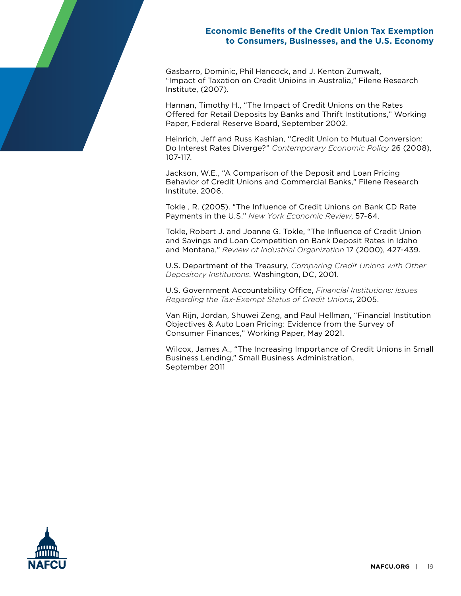Gasbarro, Dominic, Phil Hancock, and J. Kenton Zumwalt, "Impact of Taxation on Credit Unioins in Australia," Filene Research Institute, (2007).

Hannan, Timothy H., "The Impact of Credit Unions on the Rates Offered for Retail Deposits by Banks and Thrift Institutions," Working Paper, Federal Reserve Board, September 2002.

Heinrich, Jeff and Russ Kashian, "Credit Union to Mutual Conversion: Do Interest Rates Diverge?" *Contemporary Economic Policy* 26 (2008), 107-117.

Jackson, W.E., "A Comparison of the Deposit and Loan Pricing Behavior of Credit Unions and Commercial Banks," Filene Research Institute, 2006.

Tokle , R. (2005). "The Influence of Credit Unions on Bank CD Rate Payments in the U.S." *New York Economic Review*, 57-64.

Tokle, Robert J. and Joanne G. Tokle, "The Influence of Credit Union and Savings and Loan Competition on Bank Deposit Rates in Idaho and Montana," *Review of Industrial Organization* 17 (2000), 427-439.

U.S. Department of the Treasury, *Comparing Credit Unions with Other Depository Institutions*. Washington, DC, 2001.

U.S. Government Accountability Office, *Financial Institutions: Issues Regarding the Tax-Exempt Status of Credit Unions*, 2005.

Van Rijn, Jordan, Shuwei Zeng, and Paul Hellman, "Financial Institution Objectives & Auto Loan Pricing: Evidence from the Survey of Consumer Finances," Working Paper, May 2021.

Wilcox, James A., "The Increasing Importance of Credit Unions in Small Business Lending," Small Business Administration, September 2011

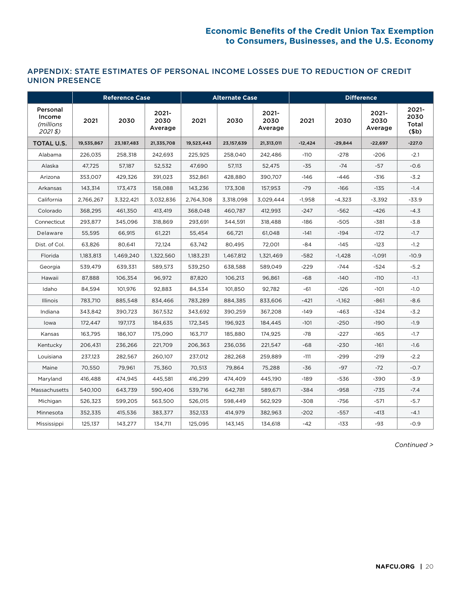### APPENDIX: STATE ESTIMATES OF PERSONAL INCOME LOSSES DUE TO REDUCTION OF CREDIT UNION PRESENCE

|                                                      | <b>Reference Case</b> |              |                          |            | <b>Alternate Case</b> |                          | <b>Difference</b> |           |                             |                                       |  |
|------------------------------------------------------|-----------------------|--------------|--------------------------|------------|-----------------------|--------------------------|-------------------|-----------|-----------------------------|---------------------------------------|--|
| Personal<br>Income<br>(millions<br>$2021\,\text{\$}$ | 2021                  | 2030         | 2021-<br>2030<br>Average | 2021       | 2030                  | 2021-<br>2030<br>Average | 2021              | 2030      | $2021 -$<br>2030<br>Average | 2021-<br>2030<br>Total<br>$($ \$b $)$ |  |
| <b>TOTAL U.S.</b>                                    | 19,535,867            | 23, 187, 483 | 21,335,708               | 19,523,443 | 23, 157, 639          | 21,313,011               | $-12,424$         | $-29,844$ | $-22,697$                   | $-227.0$                              |  |
| Alabama                                              | 226,035               | 258,318      | 242,693                  | 225,925    | 258,040               | 242,486                  | $-110$            | $-278$    | $-206$                      | $-2.1$                                |  |
| Alaska                                               | 47,725                | 57,187       | 52,532                   | 47,690     | 57,113                | 52,475                   | $-35$             | $-74$     | $-57$                       | $-0.6$                                |  |
| Arizona                                              | 353,007               | 429,326      | 391.023                  | 352,861    | 428.880               | 390,707                  | $-146$            | $-446$    | $-316$                      | $-3.2$                                |  |
| Arkansas                                             | 143,314               | 173.473      | 158,088                  | 143,236    | 173,308               | 157,953                  | $-79$             | $-166$    | $-135$                      | $-1.4$                                |  |
| California                                           | 2,766,267             | 3,322,421    | 3,032,836                | 2,764,308  | 3,318,098             | 3,029,444                | $-1,958$          | $-4,323$  | $-3.392$                    | $-33.9$                               |  |
| Colorado                                             | 368,295               | 461,350      | 413,419                  | 368,048    | 460,787               | 412,993                  | $-247$            | $-562$    | $-426$                      | $-4.3$                                |  |
| Connecticut                                          | 293,877               | 345,096      | 318,869                  | 293,691    | 344,591               | 318,488                  | $-186$            | $-505$    | $-381$                      | $-3.8$                                |  |
| Delaware                                             | 55,595                | 66,915       | 61,221                   | 55,454     | 66,721                | 61,048                   | $-141$            | $-194$    | $-172$                      | $-1.7$                                |  |
| Dist. of Col.                                        | 63,826                | 80,641       | 72,124                   | 63,742     | 80,495                | 72,001                   | -84               | $-145$    | $-123$                      | $-1.2$                                |  |
| Florida                                              | 1,183,813             | 1,469,240    | 1,322,560                | 1,183,231  | 1,467,812             | 1,321,469                | $-582$            | $-1,428$  | $-1,091$                    | $-10.9$                               |  |
| Georgia                                              | 539,479               | 639,331      | 589,573                  | 539,250    | 638,588               | 589,049                  | $-229$            | $-744$    | $-524$                      | $-5.2$                                |  |
| Hawaii                                               | 87,888                | 106,354      | 96,972                   | 87,820     | 106,213               | 96,861                   | $-68$             | $-140$    | $-110$                      | $-1.1$                                |  |
| Idaho                                                | 84,594                | 101,976      | 92,883                   | 84,534     | 101,850               | 92,782                   | -61               | $-126$    | $-101$                      | $-1.0$                                |  |
| Illinois                                             | 783,710               | 885,548      | 834,466                  | 783,289    | 884,385               | 833,606                  | $-421$            | $-1,162$  | $-861$                      | $-8.6$                                |  |
| Indiana                                              | 343,842               | 390,723      | 367,532                  | 343,692    | 390,259               | 367,208                  | $-149$            | $-463$    | $-324$                      | $-3.2$                                |  |
| lowa                                                 | 172,447               | 197,173      | 184,635                  | 172,345    | 196,923               | 184,445                  | $-101$            | $-250$    | $-190$                      | $-1.9$                                |  |
| Kansas                                               | 163,795               | 186,107      | 175,090                  | 163,717    | 185,880               | 174,925                  | -78               | $-227$    | $-165$                      | $-1.7$                                |  |
| Kentucky                                             | 206,431               | 236,266      | 221,709                  | 206,363    | 236,036               | 221,547                  | $-68$             | $-230$    | $-161$                      | $-1.6$                                |  |
| Louisiana                                            | 237,123               | 282,567      | 260,107                  | 237,012    | 282,268               | 259,889                  | $-111$            | $-299$    | $-219$                      | $-2.2$                                |  |
| Maine                                                | 70,550                | 79,961       | 75,360                   | 70,513     | 79,864                | 75,288                   | $-36$             | $-97$     | $-72$                       | $-0.7$                                |  |
| Maryland                                             | 416,488               | 474,945      | 445,581                  | 416,299    | 474,409               | 445,190                  | $-189$            | -536      | -390                        | $-3.9$                                |  |
| Massachusetts                                        | 540,100               | 643,739      | 590,406                  | 539,716    | 642,781               | 589,671                  | $-384$            | $-958$    | $-735$                      | $-7.4$                                |  |
| Michigan                                             | 526,323               | 599,205      | 563,500                  | 526,015    | 598,449               | 562,929                  | $-308$            | $-756$    | $-571$                      | $-5.7$                                |  |
| Minnesota                                            | 352,335               | 415,536      | 383,377                  | 352,133    | 414,979               | 382,963                  | $-202$            | $-557$    | $-413$                      | $-4.1$                                |  |
| Mississippi                                          | 125,137               | 143,277      | 134,711                  | 125,095    | 143,145               | 134,618                  | $-42$             | $-133$    | -93                         | $-0.9$                                |  |

*Continued >*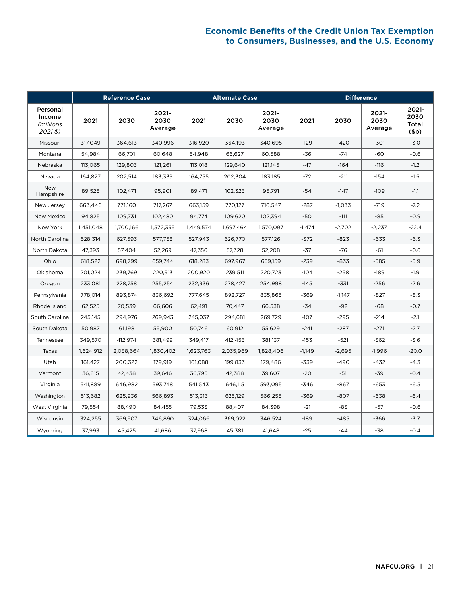|                                                   | <b>Reference Case</b> |           |                             | <b>Alternate Case</b> |           |                             | <b>Difference</b> |          |                          |                                       |  |
|---------------------------------------------------|-----------------------|-----------|-----------------------------|-----------------------|-----------|-----------------------------|-------------------|----------|--------------------------|---------------------------------------|--|
| Personal<br>Income<br><i>(millions</i><br>$2021\$ | 2021                  | 2030      | $2021 -$<br>2030<br>Average | 2021                  | 2030      | $2021 -$<br>2030<br>Average | 2021              | 2030     | 2021-<br>2030<br>Average | 2021-<br>2030<br>Total<br>$($ \$b $)$ |  |
| Missouri                                          | 317,049               | 364,613   | 340,996                     | 316,920               | 364,193   | 340.695                     | $-129$            | $-420$   | $-301$                   | $-3.0$                                |  |
| Montana                                           | 54,984                | 66,701    | 60,648                      | 54,948                | 66,627    | 60,588                      | -36               | $-74$    | -60                      | $-0.6$                                |  |
| Nebraska                                          | 113,065               | 129,803   | 121,261                     | 113,018               | 129,640   | 121,145                     | $-47$             | $-164$   | $-116$                   | $-1.2$                                |  |
| Nevada                                            | 164,827               | 202,514   | 183,339                     | 164,755               | 202,304   | 183,185                     | $-72$             | $-211$   | $-154$                   | $-1.5$                                |  |
| <b>New</b><br>Hampshire                           | 89,525                | 102,471   | 95,901                      | 89,471                | 102,323   | 95,791                      | $-54$             | $-147$   | $-109$                   | $-1.1$                                |  |
| New Jersey                                        | 663.446               | 771.160   | 717.267                     | 663.159               | 770.127   | 716,547                     | $-287$            | $-1.033$ | $-719$                   | $-7.2$                                |  |
| New Mexico                                        | 94.825                | 109.731   | 102.480                     | 94.774                | 109.620   | 102,394                     | $-50$             | $-111$   | -85                      | $-0.9$                                |  |
| New York                                          | 1,451,048             | 1,700,166 | 1,572,335                   | 1,449,574             | 1,697,464 | 1,570,097                   | $-1,474$          | $-2,702$ | $-2,237$                 | $-22.4$                               |  |
| North Carolina                                    | 528,314               | 627,593   | 577,758                     | 527,943               | 626,770   | 577,126                     | $-372$            | $-823$   | $-633$                   | $-6.3$                                |  |
| North Dakota                                      | 47.393                | 57.404    | 52,269                      | 47,356                | 57,328    | 52,208                      | -37               | $-76$    | -61                      | $-0.6$                                |  |
| Ohio                                              | 618,522               | 698,799   | 659,744                     | 618,283               | 697,967   | 659,159                     | $-239$            | $-833$   | $-585$                   | $-5.9$                                |  |
| Oklahoma                                          | 201,024               | 239,769   | 220,913                     | 200,920               | 239,511   | 220,723                     | $-104$            | $-258$   | $-189$                   | $-1.9$                                |  |
| Oregon                                            | 233,081               | 278,758   | 255,254                     | 232,936               | 278,427   | 254,998                     | $-145$            | $-331$   | $-256$                   | $-2.6$                                |  |
| Pennsylvania                                      | 778,014               | 893,874   | 836,692                     | 777,645               | 892,727   | 835,865                     | $-369$            | $-1,147$ | $-827$                   | $-8.3$                                |  |
| Rhode Island                                      | 62,525                | 70,539    | 66,606                      | 62,491                | 70,447    | 66,538                      | $-34$             | $-92$    | $-68$                    | $-0.7$                                |  |
| South Carolina                                    | 245,145               | 294,976   | 269,943                     | 245,037               | 294,681   | 269,729                     | $-107$            | $-295$   | $-214$                   | $-2.1$                                |  |
| South Dakota                                      | 50,987                | 61,198    | 55,900                      | 50,746                | 60,912    | 55,629                      | $-241$            | $-287$   | $-271$                   | $-2.7$                                |  |
| Tennessee                                         | 349,570               | 412,974   | 381,499                     | 349,417               | 412,453   | 381,137                     | $-153$            | $-521$   | $-362$                   | $-3.6$                                |  |
| Texas                                             | 1,624,912             | 2,038,664 | 1,830,402                   | 1,623,763             | 2,035,969 | 1,828,406                   | $-1,149$          | $-2,695$ | $-1.996$                 | $-20.0$                               |  |
| Utah                                              | 161.427               | 200.322   | 179.919                     | 161.088               | 199.833   | 179.486                     | $-339$            | $-490$   | $-432$                   | $-4.3$                                |  |
| Vermont                                           | 36,815                | 42,438    | 39,646                      | 36,795                | 42,388    | 39,607                      | $-20$             | $-51$    | $-39$                    | $-0.4$                                |  |
| Virginia                                          | 541,889               | 646,982   | 593,748                     | 541,543               | 646,115   | 593,095                     | -346              | $-867$   | $-653$                   | $-6.5$                                |  |
| Washington                                        | 513.682               | 625,936   | 566.893                     | 513,313               | 625,129   | 566,255                     | $-369$            | $-807$   | $-638$                   | $-6.4$                                |  |
| West Virginia                                     | 79,554                | 88,490    | 84,455                      | 79,533                | 88,407    | 84,398                      | $-21$             | -83      | -57                      | $-0.6$                                |  |
| Wisconsin                                         | 324,255               | 369,507   | 346,890                     | 324,066               | 369,022   | 346,524                     | $-189$            | $-485$   | $-366$                   | $-3.7$                                |  |
| Wyoming                                           | 37.993                | 45,425    | 41,686                      | 37,968                | 45,381    | 41,648                      | $-25$             | $-44$    | -38                      | $-0.4$                                |  |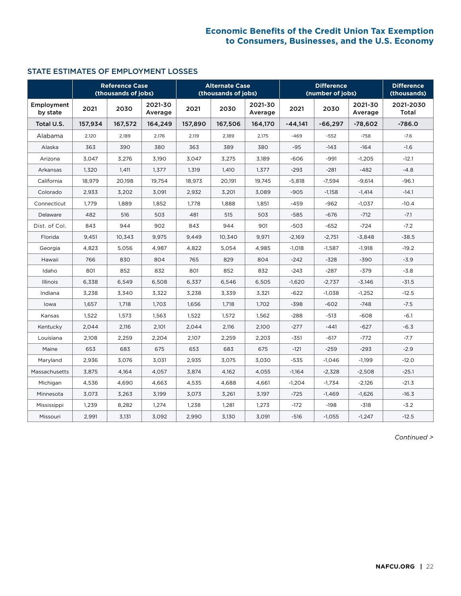### STATE ESTIMATES OF EMPLOYMENT LOSSES

|                        | <b>Reference Case</b><br>(thousands of jobs) |         | <b>Alternate Case</b><br>(thousands of jobs) |         |         | (number of iobs)   | <b>Difference</b><br>(thousands) |           |                    |                    |
|------------------------|----------------------------------------------|---------|----------------------------------------------|---------|---------|--------------------|----------------------------------|-----------|--------------------|--------------------|
| Employment<br>by state | 2021                                         | 2030    | 2021-30<br>Average                           | 2021    | 2030    | 2021-30<br>Average | 2021                             | 2030      | 2021-30<br>Average | 2021-2030<br>Total |
| Total U.S.             | 157,934                                      | 167,572 | 164,249                                      | 157,890 | 167,506 | 164,170            | $-44,141$                        | $-66,297$ | $-78,602$          | $-786.0$           |
| Alabama                | 2,120                                        | 2,189   | 2,176                                        | 2,119   | 2,189   | 2,175              | $-469$                           | $-552$    | $-758$             | $-7.6$             |
| Alaska                 | 363                                          | 390     | 380                                          | 363     | 389     | 380                | $-95$                            | $-143$    | $-164$             | $-1.6$             |
| Arizona                | 3,047                                        | 3,276   | 3,190                                        | 3,047   | 3,275   | 3,189              | $-606$                           | $-991$    | $-1,205$           | $-12.1$            |
| Arkansas               | 1,320                                        | 1,411   | 1,377                                        | 1,319   | 1,410   | 1,377              | $-293$                           | $-281$    | $-482$             | $-4.8$             |
| California             | 18,979                                       | 20,198  | 19,754                                       | 18,973  | 20,191  | 19,745             | $-5,818$                         | $-7,594$  | $-9,614$           | $-96.1$            |
| Colorado               | 2,933                                        | 3,202   | 3,091                                        | 2,932   | 3,201   | 3,089              | $-905$                           | $-1,158$  | $-1,414$           | $-14.1$            |
| Connecticut            | 1,779                                        | 1.889   | 1,852                                        | 1,778   | 1,888   | 1,851              | $-459$                           | $-962$    | $-1,037$           | $-10.4$            |
| Delaware               | 482                                          | 516     | 503                                          | 481     | 515     | 503                | $-585$                           | $-676$    | $-712$             | $-7.1$             |
| Dist. of Col.          | 843                                          | 944     | 902                                          | 843     | 944     | 901                | $-503$                           | $-652$    | $-724$             | $-7.2$             |
| Florida                | 9,451                                        | 10,343  | 9,975                                        | 9,449   | 10,340  | 9,971              | $-2,169$                         | $-2,751$  | $-3,848$           | $-38.5$            |
| Georgia                | 4,823                                        | 5,056   | 4,987                                        | 4,822   | 5,054   | 4,985              | $-1,018$                         | $-1,587$  | $-1,918$           | $-19.2$            |
| Hawaii                 | 766                                          | 830     | 804                                          | 765     | 829     | 804                | $-242$                           | $-328$    | $-390$             | $-3.9$             |
| Idaho                  | 801                                          | 852     | 832                                          | 801     | 852     | 832                | $-243$                           | $-287$    | -379               | $-3.8$             |
| <b>Illinois</b>        | 6,338                                        | 6,549   | 6,508                                        | 6,337   | 6,546   | 6,505              | $-1,620$                         | $-2,737$  | $-3,146$           | $-31.5$            |
| Indiana                | 3,238                                        | 3,340   | 3,322                                        | 3,238   | 3,339   | 3,321              | $-622$                           | $-1,038$  | $-1,252$           | $-12.5$            |
| lowa                   | 1,657                                        | 1,718   | 1,703                                        | 1,656   | 1,718   | 1,702              | $-398$                           | $-602$    | $-748$             | $-7.5$             |
| Kansas                 | 1,522                                        | 1,573   | 1,563                                        | 1,522   | 1,572   | 1,562              | $-288$                           | $-513$    | $-608$             | $-6.1$             |
| Kentucky               | 2,044                                        | 2,116   | 2,101                                        | 2,044   | 2,116   | 2,100              | $-277$                           | $-441$    | $-627$             | $-6.3$             |
| Louisiana              | 2,108                                        | 2,259   | 2,204                                        | 2,107   | 2,259   | 2,203              | $-351$                           | $-617$    | $-772$             | $-7.7$             |
| Maine                  | 653                                          | 683     | 675                                          | 653     | 683     | 675                | $-121$                           | $-259$    | $-293$             | $-2.9$             |
| Maryland               | 2,936                                        | 3.076   | 3,031                                        | 2,935   | 3,075   | 3,030              | $-535$                           | $-1,046$  | $-1,199$           | $-12.0$            |
| Massachusetts          | 3,875                                        | 4,164   | 4,057                                        | 3,874   | 4,162   | 4,055              | $-1,164$                         | $-2,328$  | $-2,508$           | $-25.1$            |
| Michigan               | 4,536                                        | 4,690   | 4,663                                        | 4,535   | 4,688   | 4,661              | $-1,204$                         | $-1,734$  | $-2,126$           | $-21.3$            |
| Minnesota              | 3,073                                        | 3,263   | 3,199                                        | 3,073   | 3,261   | 3,197              | $-725$                           | $-1,469$  | $-1,626$           | $-16.3$            |
| Mississippi            | 1,239                                        | 8,282   | 1,274                                        | 1,238   | 1,281   | 1,273              | $-172$                           | $-198$    | $-318$             | $-3.2$             |
| Missouri               | 2,991                                        | 3,131   | 3.092                                        | 2,990   | 3,130   | 3,091              | $-516$                           | $-1,055$  | $-1,247$           | $-12.5$            |

*Continued >*